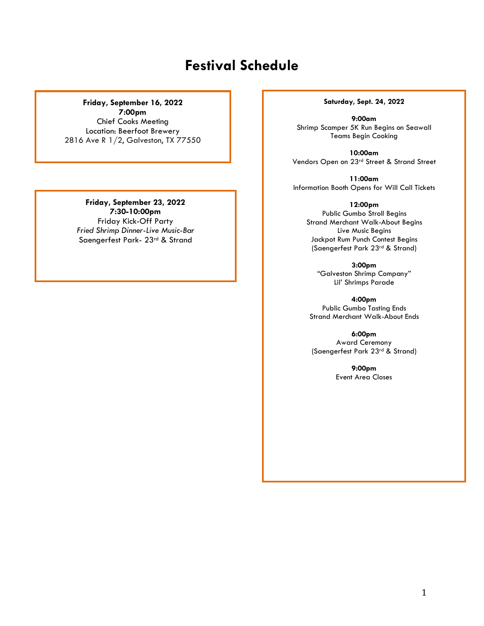# **Festival Schedule**

#### **Friday, September 16, 2022**

**7:00pm** Chief Cooks Meeting Location: Beerfoot Brewery 2816 Ave R 1/2, Galveston, TX 77550

### **Friday, September 23, 2022 7:30-10:00pm**

Friday Kick-Off Party *Fried Shrimp Dinner-Live Music-Bar* Saengerfest Park- 23rd & Strand

#### **Saturday, Sept. 24, 2022**

**9:00am** Shrimp Scamper 5K Run Begins on Seawall Teams Begin Cooking

**10:00am** Vendors Open on 23rd Street & Strand Street

**11:00am** Information Booth Opens for Will Call Tickets

**12:00pm**

Public Gumbo Stroll Begins Strand Merchant Walk-About Begins Live Music Begins Jackpot Rum Punch Contest Begins (Saengerfest Park 23rd & Strand)

**3:00pm** "Galveston Shrimp Company" Lil' Shrimps Parade

**4:00pm** Public Gumbo Tasting Ends Strand Merchant Walk-About Ends

**6:00pm** Award Ceremony (Saengerfest Park 23rd & Strand)

> **9:00pm** Event Area Closes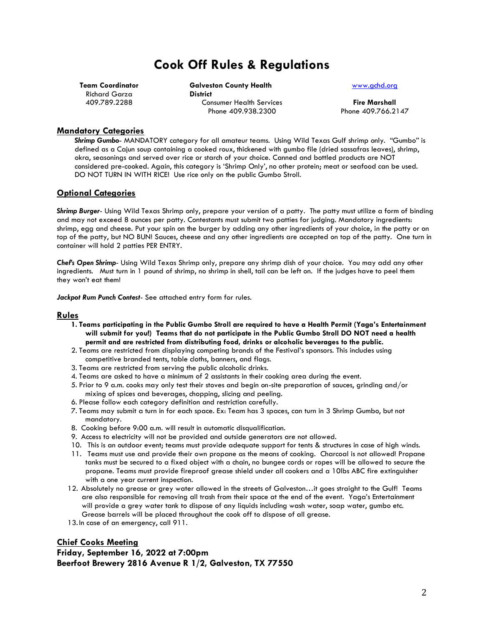# **Cook Off Rules & Regulations**

**Team Coordinator** Richard Garza 409.789.2288

**Galveston County Health District** Consumer Health Services Phone 409.938.2300

#### [www.gchd.org](http://www.gchd.org/)

**Fire Marshall** Phone 409.766.2147

#### **Mandatory Categories**

*Shrimp Gumbo*- MANDATORY category for all amateur teams. Using Wild Texas Gulf shrimp only. "Gumbo" is defined as a Cajun soup containing a cooked roux, thickened with gumbo file (dried sassafras leaves), shrimp, okra, seasonings and served over rice or starch of your choice. Canned and bottled products are NOT considered pre-cooked. Again, this category is 'Shrimp Only', no other protein; meat or seafood can be used. DO NOT TURN IN WITH RICE! Use rice only on the public Gumbo Stroll.

#### **Optional Categories**

*Shrimp Burger*- Using Wild Texas Shrimp only, prepare your version of a patty. The patty must utilize a form of binding and may not exceed 8 ounces per patty. Contestants must submit two patties for judging. Mandatory ingredients: shrimp, egg and cheese. Put your spin on the burger by adding any other ingredients of your choice, in the patty or on top of the patty, but NO BUN! Sauces, cheese and any other ingredients are accepted on top of the patty. One turn in container will hold 2 patties PER ENTRY.

*Chef's Open Shrimp-* Using Wild Texas Shrimp only, prepare any shrimp dish of your choice. You may add any other ingredients. Must turn in 1 pound of shrimp, no shrimp in shell, tail can be left on. If the judges have to peel them they won't eat them!

*Jackpot Rum Punch Contest*- See attached entry form for rules.

#### **Rules**

- **1. Teams participating in the Public Gumbo Stroll are required to have a Health Permit (Yaga's Entertainment will submit for you!) Teams that do not participate in the Public Gumbo Stroll DO NOT need a health permit and are restricted from distributing food, drinks or alcoholic beverages to the public.**
- 2. Teams are restricted from displaying competing brands of the Festival's sponsors. This includes using competitive branded tents, table cloths, banners, and flags.
- 3. Teams are restricted from serving the public alcoholic drinks.
- 4. Teams are asked to have a minimum of 2 assistants in their cooking area during the event.
- 5. Prior to 9 a.m. cooks may only test their stoves and begin on-site preparation of sauces, grinding and/or mixing of spices and beverages, chopping, slicing and peeling.
- 6. Please follow each category definition and restriction carefully.
- 7. Teams may submit a turn in for each space. Ex: Team has 3 spaces, can turn in 3 Shrimp Gumbo, but not mandatory.
- 8. Cooking before 9:00 a.m. will result in automatic disqualification.
- 9. Access to electricity will not be provided and outside generators are not allowed.
- 10. This is an outdoor event; teams must provide adequate support for tents & structures in case of high winds.
- 11. Teams must use and provide their own propane as the means of cooking. Charcoal is not allowed! Propane tanks must be secured to a fixed object with a chain, no bungee cords or ropes will be allowed to secure the propane. Teams must provide fireproof grease shield under all cookers and a 10lbs ABC fire extinguisher with a one year current inspection.
- 12. Absolutely no grease or grey water allowed in the streets of Galveston…it goes straight to the Gulf! Teams are also responsible for removing all trash from their space at the end of the event. Yaga's Entertainment will provide a grey water tank to dispose of any liquids including wash water, soap water, gumbo etc. Grease barrels will be placed throughout the cook off to dispose of all grease.
- 13. In case of an emergency, call 911.

### **Chief Cooks Meeting Friday, September 16, 2022 at 7:00pm Beerfoot Brewery 2816 Avenue R 1/2, Galveston, TX 77550**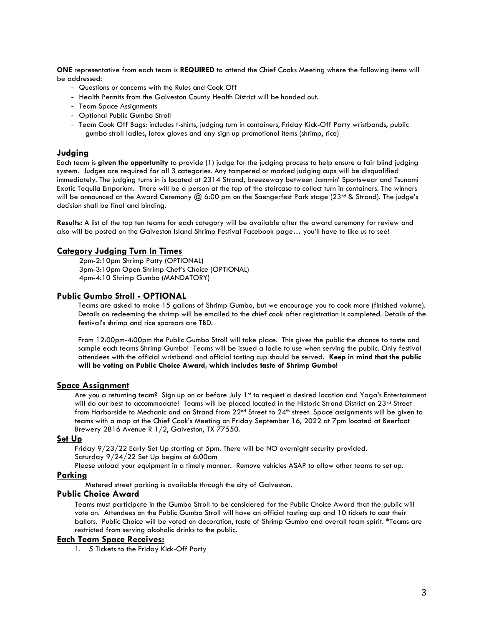**ONE** representative from each team is **REQUIRED** to attend the Chief Cooks Meeting where the following items will be addressed:

- Questions or concerns with the Rules and Cook Off
- Health Permits from the Galveston County Health District will be handed out.
- Team Space Assignments
- Optional Public Gumbo Stroll
- Team Cook Off Bags: includes t-shirts, judging turn in containers, Friday Kick-Off Party wristbands, public gumbo stroll ladles, latex gloves and any sign up promotional items (shrimp, rice)

#### **Judging**

Each team is **given the opportunity** to provide (1) judge for the judging process to help ensure a fair blind judging system. Judges are required for all 3 categories. Any tampered or marked judging cups will be disqualified immediately. The judging turns in is located at 2314 Strand, breezeway between Jammin' Sportswear and Tsunami Exotic Tequila Emporium. There will be a person at the top of the staircase to collect turn in containers. The winners will be announced at the Award Ceremony  $(2)$  6:00 pm on the Saengerfest Park stage (23<sup>rd</sup> & Strand). The judge's decision shall be final and binding.

**Results:** A list of the top ten teams for each category will be available after the award ceremony for review and also will be posted on the Galveston Island Shrimp Festival Facebook page… you'll have to like us to see!

#### **Category Judging Turn In Times**

2pm-2:10pm Shrimp Patty (OPTIONAL) 3pm-3:10pm Open Shrimp Chef's Choice (OPTIONAL) 4pm-4:10 Shrimp Gumbo (MANDATORY)

#### **Public Gumbo Stroll - OPTIONAL**

Teams are asked to make 15 gallons of Shrimp Gumbo, but we encourage you to cook more (finished volume). Details on redeeming the shrimp will be emailed to the chief cook after registration is completed. Details of the festival's shrimp and rice sponsors are TBD.

From 12:00pm-4:00pm the Public Gumbo Stroll will take place. This gives the public the chance to taste and sample each teams Shrimp Gumbo! Teams will be issued a ladle to use when serving the public. Only festival attendees with the official wristband and official tasting cup should be served. **Keep in mind that the public will be voting on Public Choice Award, which includes taste of Shrimp Gumbo!**

#### **Space Assignment**

Are you a returning team? Sign up on or before July 1st to request a desired location and Yaga's Entertainment will do our best to accommodate! Teams will be placed located in the Historic Strand District on 23rd Street from Harborside to Mechanic and on Strand from 22<sup>nd</sup> Street to 24<sup>th</sup> street. Space assignments will be given to teams with a map at the Chief Cook's Meeting on Friday September 16, 2022 at 7pm located at Beerfoot Brewery 2816 Avenue R 1/2, Galveston, TX 77550.

#### **Set Up**

Friday 9/23/22 Early Set Up starting at 5pm. There will be NO overnight security provided. Saturday 9/24/22 Set Up begins at 6:00am

Please unload your equipment in a timely manner. Remove vehicles ASAP to allow other teams to set up.

#### **Parking**

Metered street parking is available through the city of Galveston.

#### **Public Choice Award**

Teams must participate in the Gumbo Stroll to be considered for the Public Choice Award that the public will vote on. Attendees on the Public Gumbo Stroll will have an official tasting cup and 10 tickets to cast their ballots. Public Choice will be voted on decoration, taste of Shrimp Gumbo and overall team spirit. \*Teams are restricted from serving alcoholic drinks to the public.

#### **Each Team Space Receives:**

1. 5 Tickets to the Friday Kick-Off Party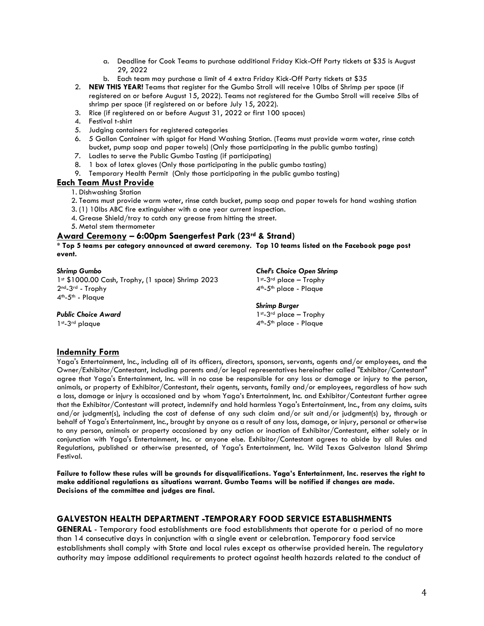- a. Deadline for Cook Teams to purchase additional Friday Kick-Off Party tickets at \$35 is August 29, 2022
- b. Each team may purchase a limit of 4 extra Friday Kick-Off Party tickets at \$35
- 2. **NEW THIS YEAR!** Teams that register for the Gumbo Stroll will receive 10lbs of Shrimp per space (if registered on or before August 15, 2022). Teams not registered for the Gumbo Stroll will receive 5lbs of shrimp per space (if registered on or before July 15, 2022).
- 3. Rice (if registered on or before August 31, 2022 or first 100 spaces)
- 4. Festival t-shirt
- 5. Judging containers for registered categories
- 6. 5 Gallon Container with spigot for Hand Washing Station. (Teams must provide warm water, rinse catch bucket, pump soap and paper towels) (Only those participating in the public gumbo tasting)
- 7. Ladles to serve the Public Gumbo Tasting (if participating)
- 8. 1 box of latex gloves (Only those participating in the public gumbo tasting)
- 9. Temporary Health Permit (Only those participating in the public gumbo tasting)

#### **Each Team Must Provide**

1. Dishwashing Station

2. Teams must provide warm water, rinse catch bucket, pump soap and paper towels for hand washing station

*Chef's Choice Open Shrimp* 1st-3rd place - Trophy 4<sup>th</sup>-5<sup>th</sup> place - Plaque

*Shrimp Burger* 1st-3rd place - Trophy 4th -5th place - Plaque

- 3. (1) 10lbs ABC fire extinguisher with a one year current inspection.
- 4. Grease Shield/tray to catch any grease from hitting the street.
- 5. Metal stem thermometer

#### **Award Ceremony – 6:00pm Saengerfest Park (23rd & Strand)**

**\* Top 5 teams per category announced at award ceremony. Top 10 teams listed on the Facebook page post event.** 

#### *Shrimp Gumbo*

1st \$1000.00 Cash, Trophy, (1 space) Shrimp 2023 2nd-3rd - Trophy 4<sup>th</sup>-5<sup>th</sup> - Plaque

#### *Public Choice Award*

1st -3rd plaque

**Indemnity Form**

Yaga's Entertainment, Inc., including all of its officers, directors, sponsors, servants, agents and/or employees, and the Owner/Exhibitor/Contestant, including parents and/or legal representatives hereinafter called "Exhibitor/Contestant" agree that Yaga's Entertainment, Inc. will in no case be responsible for any loss or damage or injury to the person, animals, or property of Exhibitor/Contestant, their agents, servants, family and/or employees, regardless of how such a loss, damage or injury is occasioned and by whom Yaga's Entertainment, Inc. and Exhibitor/Contestant further agree that the Exhibitor/Contestant will protect, indemnify and hold harmless Yaga's Entertainment, Inc., from any claims, suits and/or judgment(s), including the cost of defense of any such claim and/or suit and/or judgment(s) by, through or behalf of Yaga's Entertainment, Inc., brought by anyone as a result of any loss, damage, or injury, personal or otherwise to any person, animals or property occasioned by any action or inaction of Exhibitor/Contestant, either solely or in conjunction with Yaga's Entertainment, Inc. or anyone else. Exhibitor/Contestant agrees to abide by all Rules and Regulations, published or otherwise presented, of Yaga's Entertainment, Inc. Wild Texas Galveston Island Shrimp Festival.

**Failure to follow these rules will be grounds for disqualifications. Yaga's Entertainment, Inc. reserves the right to make additional regulations as situations warrant. Gumbo Teams will be notified if changes are made. Decisions of the committee and judges are final.** 

### **GALVESTON HEALTH DEPARTMENT -TEMPORARY FOOD SERVICE ESTABLISHMENTS**

**GENERAL** - Temporary food establishments are food establishments that operate for a period of no more than 14 consecutive days in conjunction with a single event or celebration. Temporary food service establishments shall comply with State and local rules except as otherwise provided herein. The regulatory authority may impose additional requirements to protect against health hazards related to the conduct of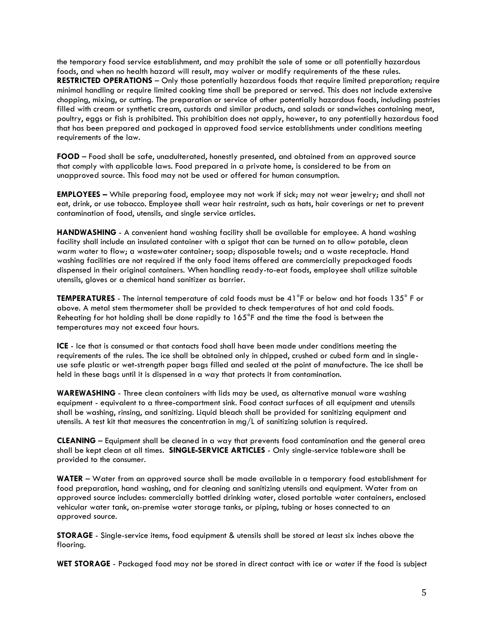the temporary food service establishment, and may prohibit the sale of some or all potentially hazardous foods, and when no health hazard will result, may waiver or modify requirements of the these rules. **RESTRICTED OPERATIONS** – Only those potentially hazardous foods that require limited preparation; require minimal handling or require limited cooking time shall be prepared or served. This does not include extensive chopping, mixing, or cutting. The preparation or service of other potentially hazardous foods, including pastries filled with cream or synthetic cream, custards and similar products, and salads or sandwiches containing meat, poultry, eggs or fish is prohibited. This prohibition does not apply, however, to any potentially hazardous food that has been prepared and packaged in approved food service establishments under conditions meeting requirements of the law.

**FOOD** – Food shall be safe, unadulterated, honestly presented, and obtained from an approved source that comply with applicable laws. Food prepared in a private home, is considered to be from an unapproved source. This food may not be used or offered for human consumption.

**EMPLOYEES –** While preparing food, employee may not work if sick; may not wear jewelry; and shall not eat, drink, or use tobacco. Employee shall wear hair restraint, such as hats, hair coverings or net to prevent contamination of food, utensils, and single service articles.

**HANDWASHING** - A convenient hand washing facility shall be available for employee. A hand washing facility shall include an insulated container with a spigot that can be turned on to allow potable, clean warm water to flow; a wastewater container; soap; disposable towels; and a waste receptacle. Hand washing facilities are not required if the only food items offered are commercially prepackaged foods dispensed in their original containers. When handling ready-to-eat foods, employee shall utilize suitable utensils, gloves or a chemical hand sanitizer as barrier.

**TEMPERATURES** - The internal temperature of cold foods must be 41°F or below and hot foods 135° F or above. A metal stem thermometer shall be provided to check temperatures of hot and cold foods. Reheating for hot holding shall be done rapidly to 165°F and the time the food is between the temperatures may not exceed four hours.

**ICE** - Ice that is consumed or that contacts food shall have been made under conditions meeting the requirements of the rules. The ice shall be obtained only in chipped, crushed or cubed form and in singleuse safe plastic or wet-strength paper bags filled and sealed at the point of manufacture. The ice shall be held in these bags until it is dispensed in a way that protects it from contamination.

**WAREWASHING** - Three clean containers with lids may be used, as alternative manual ware washing equipment - equivalent to a three-compartment sink. Food contact surfaces of all equipment and utensils shall be washing, rinsing, and sanitizing. Liquid bleach shall be provided for sanitizing equipment and utensils. A test kit that measures the concentration in mg/L of sanitizing solution is required.

**CLEANING** – Equipment shall be cleaned in a way that prevents food contamination and the general area shall be kept clean at all times. **SINGLE-SERVICE ARTICLES** - Only single-service tableware shall be provided to the consumer.

**WATER** – Water from an approved source shall be made available in a temporary food establishment for food preparation, hand washing, and for cleaning and sanitizing utensils and equipment. Water from an approved source includes: commercially bottled drinking water, closed portable water containers, enclosed vehicular water tank, on-premise water storage tanks, or piping, tubing or hoses connected to an approved source.

**STORAGE** - Single-service items, food equipment & utensils shall be stored at least six inches above the flooring.

**WET STORAGE** - Packaged food may not be stored in direct contact with ice or water if the food is subject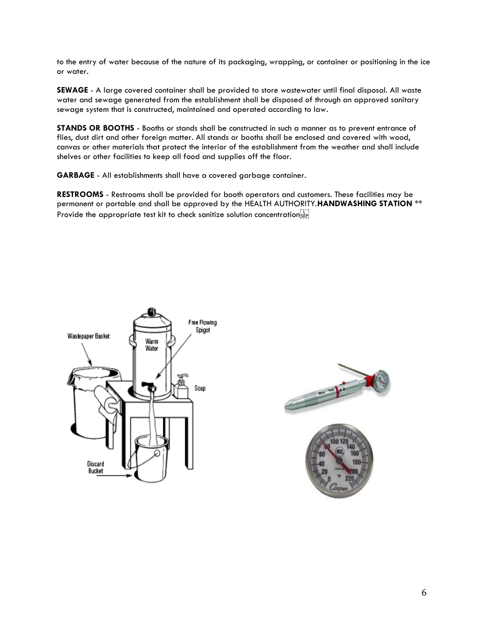to the entry of water because of the nature of its packaging, wrapping, or container or positioning in the ice or water.

**SEWAGE** - A large covered container shall be provided to store wastewater until final disposal. All waste water and sewage generated from the establishment shall be disposed of through an approved sanitary sewage system that is constructed, maintained and operated according to law.

**STANDS OR BOOTHS** - Booths or stands shall be constructed in such a manner as to prevent entrance of flies, dust dirt and other foreign matter. All stands or booths shall be enclosed and covered with wood, canvas or other materials that protect the interior of the establishment from the weather and shall include shelves or other facilities to keep all food and supplies off the floor.

**GARBAGE** - All establishments shall have a covered garbage container.

**RESTROOMS** - Restrooms shall be provided for booth operators and customers. These facilities may be permanent or portable and shall be approved by the HEALTH AUTHORITY.**HANDWASHING STATION** \*\* Provide the appropriate test kit to check sanitize solution concentration  $\overline{S_{EP}}$ 



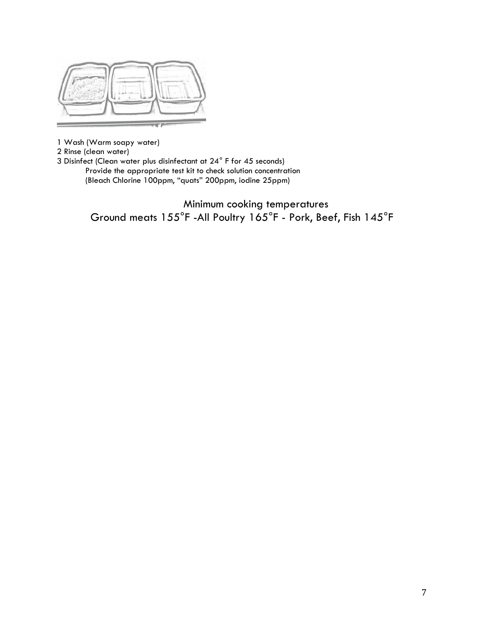

1 Wash (Warm soapy water)

2 Rinse (clean water)

3 Disinfect (Clean water plus disinfectant at 24° F for 45 seconds) Provide the appropriate test kit to check solution concentration (Bleach Chlorine 100ppm, "quats" 200ppm, iodine 25ppm)

> Minimum cooking temperatures Ground meats 155°F -All Poultry 165°F - Pork, Beef, Fish 145°F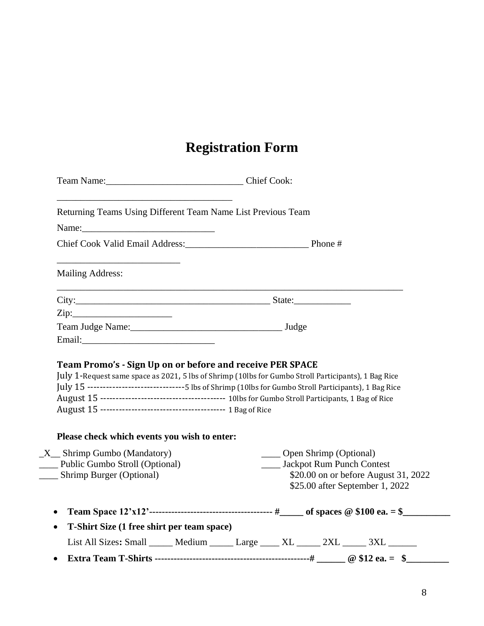# **Registration Form**

| Returning Teams Using Different Team Name List Previous Team                                                                                                      |                                                                                         |
|-------------------------------------------------------------------------------------------------------------------------------------------------------------------|-----------------------------------------------------------------------------------------|
|                                                                                                                                                                   |                                                                                         |
| Chief Cook Valid Email Address: Phone #                                                                                                                           |                                                                                         |
| <b>Mailing Address:</b>                                                                                                                                           |                                                                                         |
|                                                                                                                                                                   |                                                                                         |
| Zip:                                                                                                                                                              |                                                                                         |
|                                                                                                                                                                   |                                                                                         |
| Email: Email:                                                                                                                                                     |                                                                                         |
| Team Promo's - Sign Up on or before and receive PER SPACE<br>July 1-Request same space as 2021, 5 lbs of Shrimp (10lbs for Gumbo Stroll Participants), 1 Bag Rice |                                                                                         |
| July 15 --------------------------------5 lbs of Shrimp (10lbs for Gumbo Stroll Participants), 1 Bag Rice                                                         |                                                                                         |
| Please check which events you wish to enter:                                                                                                                      |                                                                                         |
|                                                                                                                                                                   | ____ Open Shrimp (Optional)                                                             |
|                                                                                                                                                                   | ____ Jackpot Rum Punch Contest                                                          |
|                                                                                                                                                                   | \$20.00 on or before August 31, 2022<br>\$25.00 after September 1, 2022                 |
|                                                                                                                                                                   |                                                                                         |
| T-Shirt Size (1 free shirt per team space)                                                                                                                        |                                                                                         |
| $X$ <sub>_</sub> Shrimp Gumbo (Mandatory)<br>Public Gumbo Stroll (Optional)<br>____ Shrimp Burger (Optional)                                                      | List All Sizes: Small ______ Medium ______ Large _____ XL ______ 2XL ______ 3XL _______ |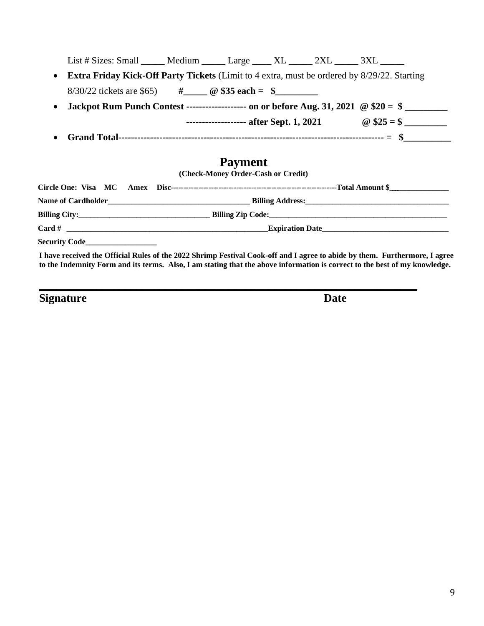|                                                                                                           | List # Sizes: Small ______ Medium ______ Large _____ XL ______ 2XL ______ 3XL ______               |                                         |  |  |                    |  |
|-----------------------------------------------------------------------------------------------------------|----------------------------------------------------------------------------------------------------|-----------------------------------------|--|--|--------------------|--|
| $\bullet$                                                                                                 | <b>Extra Friday Kick-Off Party Tickets</b> (Limit to 4 extra, must be ordered by 8/29/22. Starting |                                         |  |  |                    |  |
|                                                                                                           |                                                                                                    |                                         |  |  |                    |  |
| Jackpot Rum Punch Contest ------------------- on or before Aug. 31, 2021 $\oslash$ \$20 = \$<br>$\bullet$ |                                                                                                    |                                         |  |  |                    |  |
|                                                                                                           |                                                                                                    | ------------------- after Sept. 1, 2021 |  |  | $\omega$ \$25 = \$ |  |
|                                                                                                           |                                                                                                    |                                         |  |  |                    |  |

# **Payment**

**(Check-Money Order-Cash or Credit)**

| Security Code |                                                                                                                            |
|---------------|----------------------------------------------------------------------------------------------------------------------------|
|               | I have received the Official Rules of the 2022 Shrimp Festival Cook-off and I agree to abide by them. Furthermore, I agree |

**to the Indemnity Form and its terms. Also, I am stating that the above information is correct to the best of my knowledge.** 

**\_\_\_\_\_\_\_\_\_\_\_\_\_\_\_\_\_\_\_\_\_\_\_\_\_\_\_\_\_\_\_\_\_\_\_\_\_\_\_\_\_\_\_\_\_\_\_\_\_\_\_\_\_\_\_\_\_\_\_\_\_\_\_\_\_\_**

**Signature** Date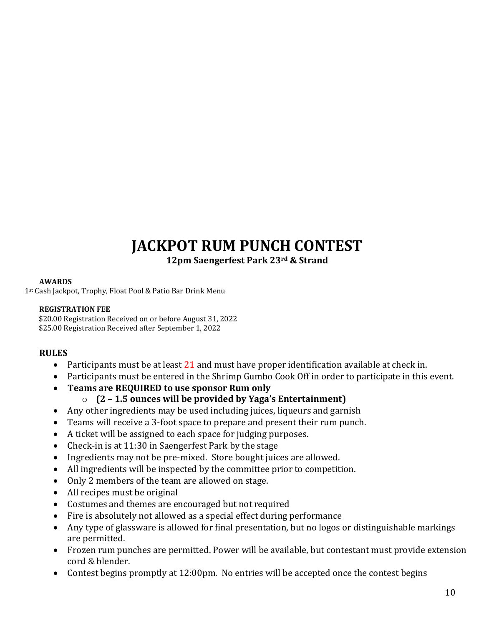# **JACKPOT RUM PUNCH CONTEST**

**12pm Saengerfest Park 23rd & Strand**

## **AWARDS**

1st Cash Jackpot, Trophy, Float Pool & Patio Bar Drink Menu

## **REGISTRATION FEE**

\$20.00 Registration Received on or before August 31, 2022 \$25.00 Registration Received after September 1, 2022

# **RULES**

- Participants must be at least 21 and must have proper identification available at check in.
- Participants must be entered in the Shrimp Gumbo Cook Off in order to participate in this event.
- **Teams are REQUIRED to use sponsor Rum only**
	- o **(2 – 1.5 ounces will be provided by Yaga's Entertainment)**
- Any other ingredients may be used including juices, liqueurs and garnish
- Teams will receive a 3-foot space to prepare and present their rum punch.
- A ticket will be assigned to each space for judging purposes.
- Check-in is at 11:30 in Saengerfest Park by the stage
- Ingredients may not be pre-mixed. Store bought juices are allowed.
- All ingredients will be inspected by the committee prior to competition.
- Only 2 members of the team are allowed on stage.
- All recipes must be original
- Costumes and themes are encouraged but not required
- Fire is absolutely not allowed as a special effect during performance
- Any type of glassware is allowed for final presentation, but no logos or distinguishable markings are permitted.
- Frozen rum punches are permitted. Power will be available, but contestant must provide extension cord & blender.
- Contest begins promptly at 12:00pm. No entries will be accepted once the contest begins